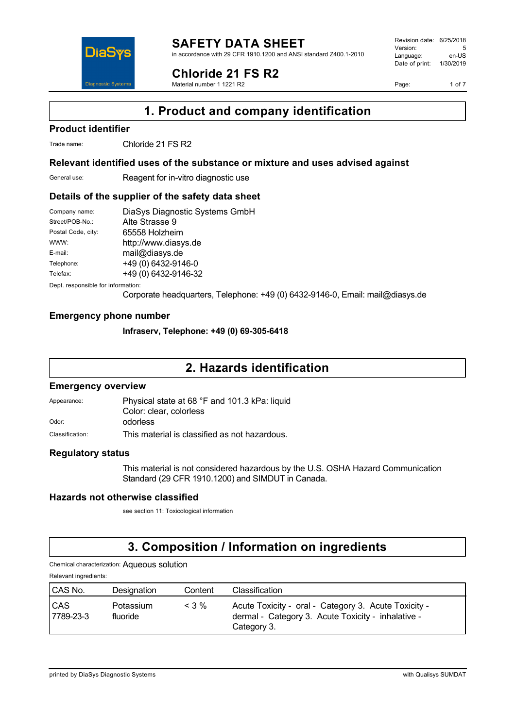

in accordance with 29 CFR 1910.1200 and ANSI standard Z400.1-2010

## **Chloride 21 FS R2**

Material number 1 1221 R2

Revision date: 6/25/2018 Version: 5<br>Language: en-LIS Language: Date of print: 1/30/2019

Page: 1 of 7

**1. Product and company identification**

### **Product identifier**

Trade name: Chloride 21 FS R2

DiaS

**Diagnostic Syste** 

### **Relevant identified uses of the substance or mixture and uses advised against**

General use: Reagent for in-vitro diagnostic use

### **Details of the supplier of the safety data sheet**

| DiaSys Diagnostic Systems GmbH |
|--------------------------------|
| Alte Strasse 9                 |
| 65558 Holzheim                 |
| http://www.diasys.de           |
| mail@diasys.de                 |
| +49 (0) 6432-9146-0            |
| +49 (0) 6432-9146-32           |
|                                |

Dept. responsible for information:

Corporate headquarters, Telephone: +49 (0) 6432-9146-0, Email: mail@diasys.de

### **Emergency phone number**

### **Infraserv, Telephone: +49 (0) 69-305-6418**

## **2. Hazards identification**

### **Emergency overview**

Appearance: Physical state at 68 °F and 101.3 kPa: liquid Color: clear, colorless Odor: **odorless** 

Classification: This material is classified as not hazardous.

### **Regulatory status**

This material is not considered hazardous by the U.S. OSHA Hazard Communication Standard (29 CFR 1910.1200) and SIMDUT in Canada.

### **Hazards not otherwise classified**

see section 11: Toxicological information

## **3. Composition / Information on ingredients**

Chemical characterization: Aqueous solution

Relevant ingredients:

| CAS No.                 | Designation           | Content | Classification                                                                                                            |
|-------------------------|-----------------------|---------|---------------------------------------------------------------------------------------------------------------------------|
| <b>CAS</b><br>7789-23-3 | Potassium<br>fluoride | $<$ 3 % | Acute Toxicity - oral - Category 3. Acute Toxicity -<br>dermal - Category 3. Acute Toxicity - inhalative -<br>Category 3. |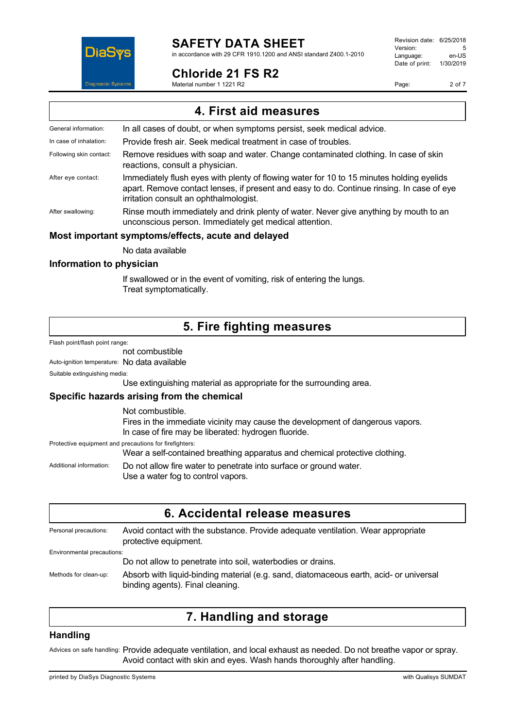

## **SAFETY DATA SHEET**

in accordance with 29 CFR 1910.1200 and ANSI standard Z400.1-2010

### **Chloride 21 FS R2**

Material number 1 1221 R2

Revision date: 6/25/2018 Version: 5<br>Language: en-LIS Language: Date of print: 1/30/2019

Page: 2 of 7

**4. First aid measures** General information: In all cases of doubt, or when symptoms persist, seek medical advice. In case of inhalation: Provide fresh air. Seek medical treatment in case of troubles. Following skin contact: Remove residues with soap and water. Change contaminated clothing. In case of skin reactions, consult a physician. After eye contact: Immediately flush eyes with plenty of flowing water for 10 to 15 minutes holding eyelids apart. Remove contact lenses, if present and easy to do. Continue rinsing. In case of eye irritation consult an ophthalmologist. After swallowing: Rinse mouth immediately and drink plenty of water. Never give anything by mouth to an unconscious person. Immediately get medical attention. **Most important symptoms/effects, acute and delayed** No data available

#### **Information to physician**

If swallowed or in the event of vomiting, risk of entering the lungs. Treat symptomatically.

## **5. Fire fighting measures**

Flash point/flash point range:

not combustible

Auto-ignition temperature: No data available

Suitable extinguishing media:

Use extinguishing material as appropriate for the surrounding area.

#### **Specific hazards arising from the chemical**

|                         | Not combustible.                                                                                         |
|-------------------------|----------------------------------------------------------------------------------------------------------|
|                         | Fires in the immediate vicinity may cause the development of dangerous vapors.                           |
|                         | In case of fire may be liberated: hydrogen fluoride.                                                     |
|                         | Protective equipment and precautions for firefighters:                                                   |
|                         | Wear a self-contained breathing apparatus and chemical protective clothing.                              |
| Additional information: | Do not allow fire water to penetrate into surface or ground water.<br>Use a water fog to control vapors. |

| Personal precautions:      | Avoid contact with the substance. Provide adequate ventilation. Wear appropriate<br>protective equipment.                  |
|----------------------------|----------------------------------------------------------------------------------------------------------------------------|
| Environmental precautions: |                                                                                                                            |
|                            | Do not allow to penetrate into soil, waterbodies or drains.                                                                |
| Methods for clean-up:      | Absorb with liquid-binding material (e.g. sand, diatomaceous earth, acid- or universal<br>binding agents). Final cleaning. |

## **7. Handling and storage**

#### **Handling**

Advices on safe handling: Provide adequate ventilation, and local exhaust as needed. Do not breathe vapor or spray. Avoid contact with skin and eyes. Wash hands thoroughly after handling.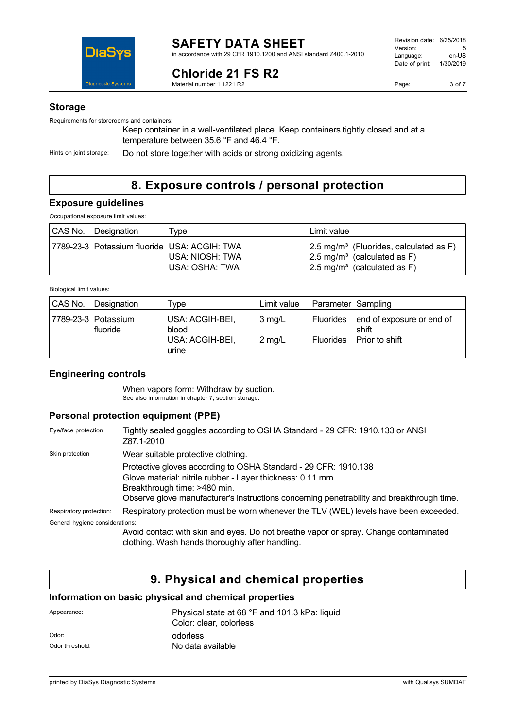

## **Chloride 21 FS R2**

Material number 1 1221 R2

#### **Storage**

Requirements for storerooms and containers:

Keep container in a well-ventilated place. Keep containers tightly closed and at a temperature between 35.6 °F and 46.4 °F.

Hints on joint storage: Do not store together with acids or strong oxidizing agents.

## **8. Exposure controls / personal protection**

### **Exposure guidelines**

Occupational exposure limit values:

| CAS No. Designation | $v$ pe                                                                            | Limit value                                                                                                                              |
|---------------------|-----------------------------------------------------------------------------------|------------------------------------------------------------------------------------------------------------------------------------------|
|                     | 7789-23-3 Potassium fluoride USA: ACGIH: TWA<br>USA: NIOSH: TWA<br>USA: OSHA: TWA | 2.5 mg/m <sup>3</sup> (Fluorides, calculated as F)<br>2.5 mg/m <sup>3</sup> (calculated as F)<br>2.5 mg/m <sup>3</sup> (calculated as F) |

| Biological limit values: |  |  |
|--------------------------|--|--|
|--------------------------|--|--|

| CAS No. | Designation                     | Tvpe                                                 | Limit value                          | Parameter Sampling |                                                                |
|---------|---------------------------------|------------------------------------------------------|--------------------------------------|--------------------|----------------------------------------------------------------|
|         | 7789-23-3 Potassium<br>fluoride | USA: ACGIH-BEI,<br>blood<br>USA: ACGIH-BEI,<br>urine | $3 \text{ mg/L}$<br>$2 \text{ mg/L}$ | Fluorides          | Fluorides end of exposure or end of<br>shift<br>Prior to shift |

### **Engineering controls**

When vapors form: Withdraw by suction. See also information in chapter 7, section storage.

### **Personal protection equipment (PPE)**

| Eye/face protection             | Tightly sealed goggles according to OSHA Standard - 29 CFR: 1910.133 or ANSI<br>Z87.1-2010                                                                                                                                                                 |
|---------------------------------|------------------------------------------------------------------------------------------------------------------------------------------------------------------------------------------------------------------------------------------------------------|
| Skin protection                 | Wear suitable protective clothing.                                                                                                                                                                                                                         |
|                                 | Protective gloves according to OSHA Standard - 29 CFR: 1910.138<br>Glove material: nitrile rubber - Layer thickness: 0.11 mm.<br>Breakthrough time: >480 min.<br>Observe glove manufacturer's instructions concerning penetrability and breakthrough time. |
| Respiratory protection:         | Respiratory protection must be worn whenever the TLV (WEL) levels have been exceeded.                                                                                                                                                                      |
| General hygiene considerations: |                                                                                                                                                                                                                                                            |
|                                 | Avoid contact with skin and eyes. Do not breathe vapor or spray. Change contaminated<br>clothing. Wash hands thoroughly after handling.                                                                                                                    |

## **9. Physical and chemical properties**

### **Information on basic physical and chemical properties**

| Appearance:     | Physical state at 68 °F and 101.3 kPa: liquid<br>Color: clear. colorless |
|-----------------|--------------------------------------------------------------------------|
| Odor:           | odorless                                                                 |
| Odor threshold: | No data available                                                        |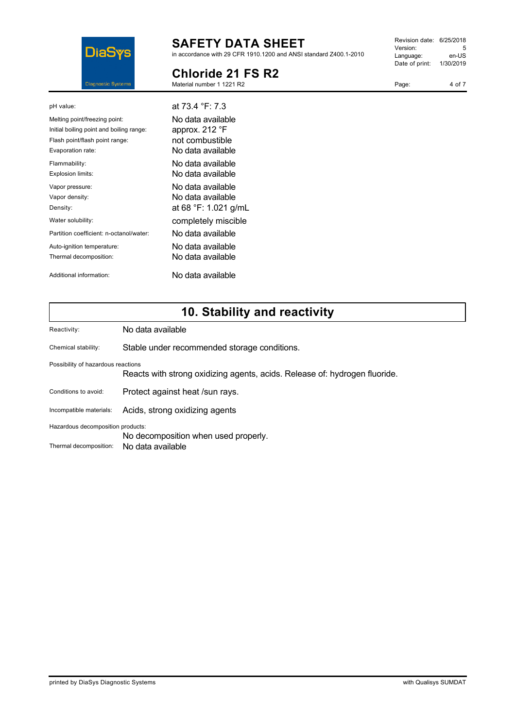

# **SAFETY DATA SHEET**

in accordance with 29 CFR 1910.1200 and ANSI standard Z400.1-2010

## **Chloride 21 FS R2**

Material number 1 1221 R2

| Revision date: 6/25/2018 |           |
|--------------------------|-----------|
| Version:                 | 5         |
| Language:                | en-US     |
| Date of print:           | 1/30/2019 |
|                          |           |

Page: 4 of 7

| pH value:                                                                                                                        | at 73.4 °F: 7.3                                                             |
|----------------------------------------------------------------------------------------------------------------------------------|-----------------------------------------------------------------------------|
| Melting point/freezing point:<br>Initial boiling point and boiling range:<br>Flash point/flash point range:<br>Evaporation rate: | No data available<br>approx. 212 °F<br>not combustible<br>No data available |
| Flammability:<br>Explosion limits:                                                                                               | No data available<br>No data available                                      |
| Vapor pressure:<br>Vapor density:<br>Density:                                                                                    | No data available<br>No data available<br>at 68 °F: 1.021 g/mL              |
| Water solubility:                                                                                                                | completely miscible                                                         |
| Partition coefficient: n-octanol/water:                                                                                          | No data available                                                           |
| Auto-ignition temperature:<br>Thermal decomposition:                                                                             | No data available<br>No data available                                      |
| Additional information:                                                                                                          | No data available                                                           |

# **10. Stability and reactivity**

| Reactivity:                                                 | No data available                                                          |
|-------------------------------------------------------------|----------------------------------------------------------------------------|
| Chemical stability:                                         | Stable under recommended storage conditions.                               |
| Possibility of hazardous reactions                          | Reacts with strong oxidizing agents, acids. Release of: hydrogen fluoride. |
| Conditions to avoid:                                        | Protect against heat /sun rays.                                            |
| Incompatible materials:                                     | Acids, strong oxidizing agents                                             |
| Hazardous decomposition products:<br>Thermal decomposition: | No decomposition when used properly.<br>No data available                  |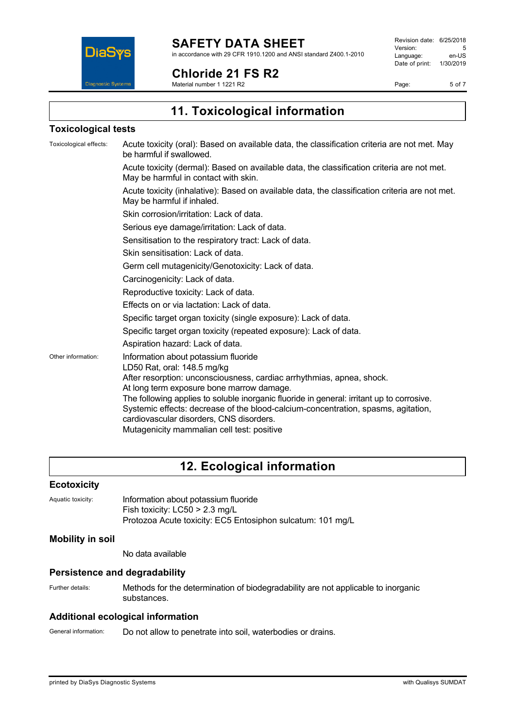

## **Chloride 21 FS R2**

Material number 1 1221 R2

Revision date: 6/25/2018 Version: 5<br>
Language: en-US Language: Date of print: 1/30/2019

Page: 5 of 7

**11. Toxicological information**

### **Toxicological tests**

| Toxicological effects: | Acute toxicity (oral): Based on available data, the classification criteria are not met. May<br>be harmful if swallowed.                                                                                                                                                 |  |  |
|------------------------|--------------------------------------------------------------------------------------------------------------------------------------------------------------------------------------------------------------------------------------------------------------------------|--|--|
|                        | Acute toxicity (dermal): Based on available data, the classification criteria are not met.<br>May be harmful in contact with skin.                                                                                                                                       |  |  |
|                        | Acute toxicity (inhalative): Based on available data, the classification criteria are not met.<br>May be harmful if inhaled.                                                                                                                                             |  |  |
|                        | Skin corrosion/irritation: Lack of data.                                                                                                                                                                                                                                 |  |  |
|                        | Serious eye damage/irritation: Lack of data.                                                                                                                                                                                                                             |  |  |
|                        | Sensitisation to the respiratory tract: Lack of data.                                                                                                                                                                                                                    |  |  |
|                        | Skin sensitisation: Lack of data.                                                                                                                                                                                                                                        |  |  |
|                        | Germ cell mutagenicity/Genotoxicity: Lack of data.                                                                                                                                                                                                                       |  |  |
|                        | Carcinogenicity: Lack of data.                                                                                                                                                                                                                                           |  |  |
|                        | Reproductive toxicity: Lack of data.                                                                                                                                                                                                                                     |  |  |
|                        | Effects on or via lactation: Lack of data.                                                                                                                                                                                                                               |  |  |
|                        | Specific target organ toxicity (single exposure): Lack of data.                                                                                                                                                                                                          |  |  |
|                        | Specific target organ toxicity (repeated exposure): Lack of data.                                                                                                                                                                                                        |  |  |
|                        | Aspiration hazard: Lack of data.                                                                                                                                                                                                                                         |  |  |
| Other information:     | Information about potassium fluoride<br>LD50 Rat, oral: 148.5 mg/kg                                                                                                                                                                                                      |  |  |
|                        | After resorption: unconsciousness, cardiac arrhythmias, apnea, shock.<br>At long term exposure bone marrow damage.                                                                                                                                                       |  |  |
|                        | The following applies to soluble inorganic fluoride in general: irritant up to corrosive.<br>Systemic effects: decrease of the blood-calcium-concentration, spasms, agitation,<br>cardiovascular disorders, CNS disorders.<br>Mutagenicity mammalian cell test: positive |  |  |

## **12. Ecological information**

#### **Ecotoxicity**

| Aquatic toxicity: | Information about potassium fluoride                       |
|-------------------|------------------------------------------------------------|
|                   | Fish toxicity: $LCS0 > 2.3$ mg/L                           |
|                   | Protozoa Acute toxicity: EC5 Entosiphon sulcatum: 101 mg/L |

### **Mobility in soil**

No data available

### **Persistence and degradability**

Further details: Methods for the determination of biodegradability are not applicable to inorganic substances.

### **Additional ecological information**

General information: Do not allow to penetrate into soil, waterbodies or drains.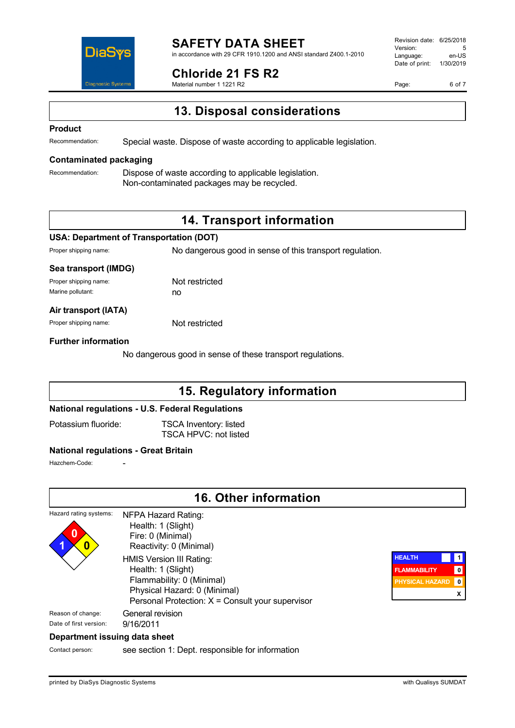

#### **SAFETY DATA SHEET** in accordance with 29 CFR 1910.1200 and ANSI standard Z400.1-2010

**Chloride 21 FS R2**

Material number 1 1221 R2

Revision date: 6/25/2018 Version: 5<br>Language: en-LIS Language: Date of print: 1/30/2019

Page: 6 of 7

**13. Disposal considerations**

#### **Product**

Recommendation: Special waste. Dispose of waste according to applicable legislation.

#### **Contaminated packaging**

Recommendation: Dispose of waste according to applicable legislation. Non-contaminated packages may be recycled.

## **14. Transport information**

#### **USA: Department of Transportation (DOT)**

Proper shipping name: No dangerous good in sense of this transport regulation.

#### **Sea transport (IMDG)**

Proper shipping name: Not restricted Marine pollutant: now no

#### **Air transport (IATA)**

Proper shipping name: Not restricted

#### **Further information**

No dangerous good in sense of these transport regulations.

## **15. Regulatory information**

#### **National regulations - U.S. Federal Regulations**

Potassium fluoride: TSCA Inventory: listed TSCA HPVC: not listed

### **National regulations - Great Britain**

Hazchem-Code:

|                                                 | <b>16. Other information</b>                                                                                                                                                                                                                                 |                                                                |                               |
|-------------------------------------------------|--------------------------------------------------------------------------------------------------------------------------------------------------------------------------------------------------------------------------------------------------------------|----------------------------------------------------------------|-------------------------------|
| Hazard rating systems:<br>0<br>$\boldsymbol{0}$ | NFPA Hazard Rating:<br>Health: 1 (Slight)<br>Fire: 0 (Minimal)<br>Reactivity: 0 (Minimal)<br>HMIS Version III Rating:<br>Health: 1 (Slight)<br>Flammability: 0 (Minimal)<br>Physical Hazard: 0 (Minimal)<br>Personal Protection: X = Consult your supervisor | <b>HEALTH</b><br><b>FLAMMABILITY</b><br><b>PHYSICAL HAZARD</b> | $\pmb{0}$<br>$\mathbf 0$<br>x |
| Reason of change:<br>Date of first version:     | General revision<br>9/16/2011                                                                                                                                                                                                                                |                                                                |                               |
| Donartmont iccuing data choot                   |                                                                                                                                                                                                                                                              |                                                                |                               |

#### **Department issuing data sheet**

Contact person: see section 1: Dept. responsible for information